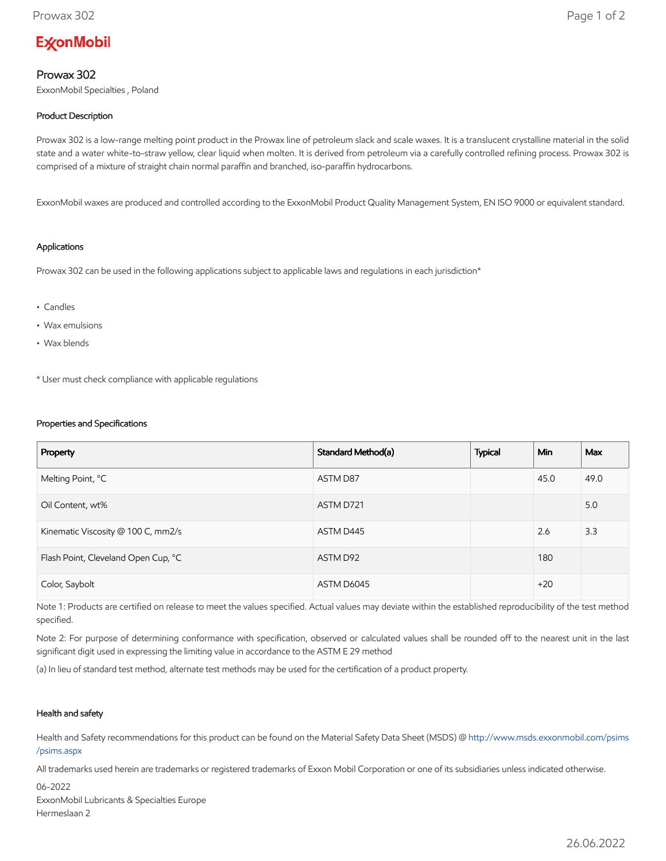# **ExconMobil**

## Prowax 302

ExxonMobil Specialties , Poland

## Product Description

Prowax 302 is a low-range melting point product in the Prowax line of petroleum slack and scale waxes. It is a translucent crystalline material in the solid state and a water white-to-straw yellow, clear liquid when molten. It is derived from petroleum via a carefully controlled refining process. Prowax 302 is comprised of a mixture of straight chain normal paraffin and branched, iso-paraffin hydrocarbons.

ExxonMobil waxes are produced and controlled according to the ExxonMobil Product Quality Management System, EN ISO 9000 or equivalent standard.

#### Applications

Prowax 302 can be used in the following applications subject to applicable laws and regulations in each jurisdiction\*

- Candles
- Wax emulsions
- Wax blends

\* User must check compliance with applicable regulations

#### Properties and Specifications

| Property                            | Standard Method(a) | <b>Typical</b> | <b>Min</b> | Max  |
|-------------------------------------|--------------------|----------------|------------|------|
| Melting Point, °C                   | ASTM D87           |                | 45.0       | 49.0 |
| Oil Content, wt%                    | ASTM D721          |                |            | 5.0  |
| Kinematic Viscosity @ 100 C, mm2/s  | ASTM D445          |                | 2.6        | 3.3  |
| Flash Point, Cleveland Open Cup, °C | ASTM D92           |                | 180        |      |
| Color, Saybolt                      | ASTM D6045         |                | $+20$      |      |

Note 1: Products are certified on release to meet the values specified. Actual values may deviate within the established reproducibility of the test method specified.

Note 2: For purpose of determining conformance with specification, observed or calculated values shall be rounded off to the nearest unit in the last significant digit used in expressing the limiting value in accordance to the ASTM E 29 method

(a) In lieu of standard test method, alternate test methods may be used for the certification of a product property.

### Health and safety

Health and Safety recommendations for this product can be found on the Material Safety Data Sheet (MSDS) @ [http://www.msds.exxonmobil.com/psims](http://www.msds.exxonmobil.com/psims/psims.aspx) /psims.aspx

All trademarks used herein are trademarks or registered trademarks of Exxon Mobil Corporation or one of its subsidiaries unless indicated otherwise.

06-2022 ExxonMobil Lubricants & Specialties Europe Hermeslaan 2